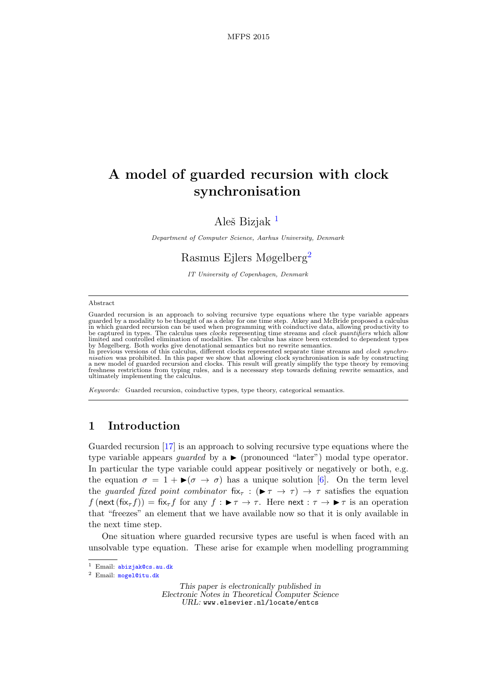# A model of guarded recursion with clock synchronisation

# Aleš Bizjak<sup>[1](#page-0-0)</sup>

Department of Computer Science, Aarhus University, Denmark

# Rasmus Ejlers Møgelberg<sup>[2](#page-0-0)</sup>

IT University of Copenhagen, Denmark

#### <span id="page-0-0"></span>Abstract

Guarded recursion is an approach to solving recursive type equations where the type variable appears<br>guarded by a modality to be thought of as a delay for one time step. Atkey and McBride proposed a calculus<br>in which guar limited and controlled elimination of modalities. The calculus has since been extended to dependent types by Møgelberg. Both works give denotational semantics but no rewrite semantics.

In previous versions of this calculus, different clocks represented separate time streams and *clock synchronisation* was prohibited. In this paper we show that allowing clock synchronisation is safe by constructing a new ultimately implementing the calculus.

Keywords: Guarded recursion, coinductive types, type theory, categorical semantics.

# 1 Introduction

Guarded recursion [\[17\]](#page-17-0) is an approach to solving recursive type equations where the type variable appears *quarded* by a  $\triangleright$  (pronounced "later") modal type operator. In particular the type variable could appear positively or negatively or both, e.g. the equation  $\sigma = 1 + \blacktriangleright (\sigma \rightarrow \sigma)$  has a unique solution [\[6\]](#page-17-1). On the term level the guarded fixed point combinator fix<sub>τ</sub> : ( $\blacktriangleright \tau \rightarrow \tau$ )  $\rightarrow \tau$  satisfies the equation  $f$ (next(fix<sub>τ</sub> $f$ )) = fix<sub>τ</sub> $f$  for any  $f : \blacktriangleright \tau \to \tau$ . Here next  $: \tau \to \blacktriangleright \tau$  is an operation that "freezes" an element that we have available now so that it is only available in the next time step.

One situation where guarded recursive types are useful is when faced with an unsolvable type equation. These arise for example when modelling programming

This paper is electronically published in Electronic Notes in Theoretical Computer Science URL: www.elsevier.nl/locate/entcs

<sup>1</sup> Email: [abizjak@cs.au.dk](mailto:abizjak@cs.au.dk)

<sup>2</sup> Email: [mogel@itu.dk](mailto:mogel@itu.dk)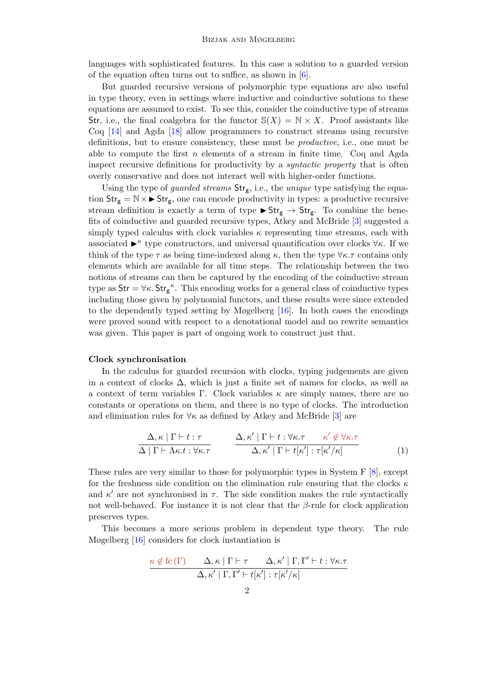languages with sophisticated features. In this case a solution to a guarded version of the equation often turns out to suffice, as shown in [\[6\]](#page-17-1).

But guarded recursive versions of polymorphic type equations are also useful in type theory, even in settings where inductive and coinductive solutions to these equations are assumed to exist. To see this, consider the coinductive type of streams Str, i.e., the final coalgebra for the functor  $\mathbb{S}(X) = \mathbb{N} \times X$ . Proof assistants like Coq [\[14\]](#page-17-2) and Agda [\[18\]](#page-17-3) allow programmers to construct streams using recursive definitions, but to ensure consistency, these must be productive, i.e., one must be able to compute the first  $n$  elements of a stream in finite time. Coq and Agda inspect recursive definitions for productivity by a syntactic property that is often overly conservative and does not interact well with higher-order functions.

Using the type of *guarded streams*  $Str_g$ , i.e., the *unique* type satisfying the equation  $Str_g = N \times \triangleright Str_g$ , one can encode productivity in types: a productive recursive stream definition is exactly a term of type  $\blacktriangleright$  Str<sub>g</sub>  $\rightarrow$  Str<sub>g</sub>. To combine the benefits of coinductive and guarded recursive types, Atkey and McBride [\[3\]](#page-17-4) suggested a simply typed calculus with clock variables  $\kappa$  representing time streams, each with associated  $\blacktriangleright^{\kappa}$  type constructors, and universal quantification over clocks  $\forall \kappa$ . If we think of the type  $\tau$  as being time-indexed along  $\kappa$ , then the type  $\forall \kappa.\tau$  contains only elements which are available for all time steps. The relationship between the two notions of streams can then be captured by the encoding of the coinductive stream type as  $\text{Str} = \forall \kappa$ .  $\text{Str}_{g}^{\kappa}$ . This encoding works for a general class of coinductive types including those given by polynomial functors, and these results were since extended to the dependently typed setting by Møgelberg [\[16\]](#page-17-5). In both cases the encodings were proved sound with respect to a denotational model and no rewrite semantics was given. This paper is part of ongoing work to construct just that.

#### Clock synchronisation

In the calculus for guarded recursion with clocks, typing judgements are given in a context of clocks  $\Delta$ , which is just a finite set of names for clocks, as well as a context of term variables Γ. Clock variables  $\kappa$  are simply names, there are no constants or operations on them, and there is no type of clocks. The introduction and elimination rules for  $\forall \kappa$  as defined by Atkey and McBride [\[3\]](#page-17-4) are

<span id="page-1-0"></span>
$$
\frac{\Delta, \kappa \mid \Gamma \vdash t : \tau}{\Delta \mid \Gamma \vdash \Lambda \kappa. t : \forall \kappa. \tau} \qquad \frac{\Delta, \kappa' \mid \Gamma \vdash t : \forall \kappa. \tau \qquad \kappa' \notin \forall \kappa. \tau}{\Delta, \kappa' \mid \Gamma \vdash t[\kappa']: \tau[\kappa'/\kappa]} \qquad (1)
$$

These rules are very similar to those for polymorphic types in System F [\[8\]](#page-17-6), except for the freshness side condition on the elimination rule ensuring that the clocks  $\kappa$ and  $\kappa'$  are not synchronised in  $\tau$ . The side condition makes the rule syntactically not well-behaved. For instance it is not clear that the  $\beta$ -rule for clock application preserves types.

This becomes a more serious problem in dependent type theory. The rule Møgelberg [\[16\]](#page-17-5) considers for clock instantiation is

$$
\frac{\kappa \notin \text{fc}\left(\Gamma\right) \qquad \Delta, \kappa \mid \Gamma \vdash \tau \qquad \Delta, \kappa' \mid \Gamma, \Gamma' \vdash t : \forall \kappa. \tau}{\Delta, \kappa' \mid \Gamma, \Gamma' \vdash t [\kappa'] : \tau[\kappa'/\kappa]}
$$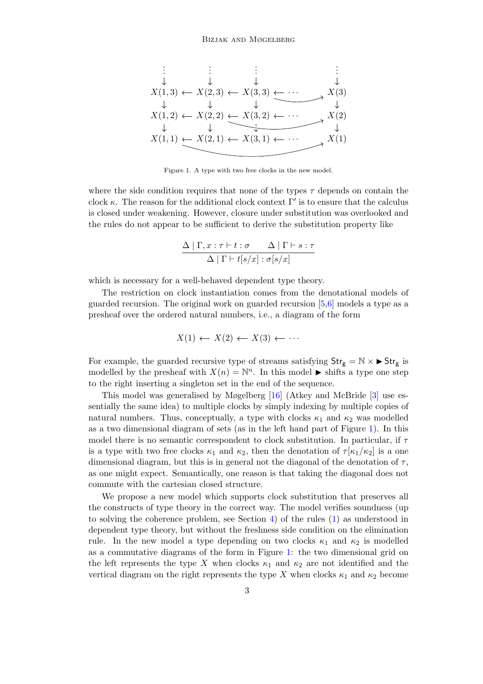

<span id="page-2-0"></span>Figure 1. A type with two free clocks in the new model.

where the side condition requires that none of the types  $\tau$  depends on contain the clock  $\kappa$ . The reason for the additional clock context  $\Gamma'$  is to ensure that the calculus is closed under weakening. However, closure under substitution was overlooked and the rules do not appear to be sufficient to derive the substitution property like

$$
\frac{\Delta |\Gamma, x:\tau \vdash t:\sigma \qquad \Delta |\Gamma \vdash s:\tau}{\Delta |\Gamma \vdash t[s/x]: \sigma[s/x]}
$$

which is necessary for a well-behaved dependent type theory.

The restriction on clock instantiation comes from the denotational models of guarded recursion. The original work on guarded recursion [\[5,](#page-17-7)[6\]](#page-17-1) models a type as a presheaf over the ordered natural numbers, i.e., a diagram of the form

$$
X(1) \leftarrow X(2) \leftarrow X(3) \leftarrow \cdots
$$

For example, the guarded recursive type of streams satisfying  $Str_g = N \times \rightarrow Str_g$  is modelled by the presheaf with  $X(n) = \mathbb{N}^n$ . In this model  $\blacktriangleright$  shifts a type one step to the right inserting a singleton set in the end of the sequence.

This model was generalised by Møgelberg [\[16\]](#page-17-5) (Atkey and McBride [\[3\]](#page-17-4) use essentially the same idea) to multiple clocks by simply indexing by multiple copies of natural numbers. Thus, conceptually, a type with clocks  $\kappa_1$  and  $\kappa_2$  was modelled as a two dimensional diagram of sets (as in the left hand part of Figure [1\)](#page-2-0). In this model there is no semantic correspondent to clock substitution. In particular, if  $\tau$ is a type with two free clocks  $\kappa_1$  and  $\kappa_2$ , then the denotation of  $\tau$ [ $\kappa_1/\kappa_2$ ] is a one dimensional diagram, but this is in general not the diagonal of the denotation of  $\tau$ , as one might expect. Semantically, one reason is that taking the diagonal does not commute with the cartesian closed structure.

We propose a new model which supports clock substitution that preserves all the constructs of type theory in the correct way. The model verifies soundness (up to solving the coherence problem, see Section [4\)](#page-16-0) of the rules [\(1\)](#page-1-0) as understood in dependent type theory, but without the freshness side condition on the elimination rule. In the new model a type depending on two clocks  $\kappa_1$  and  $\kappa_2$  is modelled as a commutative diagrams of the form in Figure [1:](#page-2-0) the two dimensional grid on the left represents the type X when clocks  $\kappa_1$  and  $\kappa_2$  are not identified and the vertical diagram on the right represents the type X when clocks  $\kappa_1$  and  $\kappa_2$  become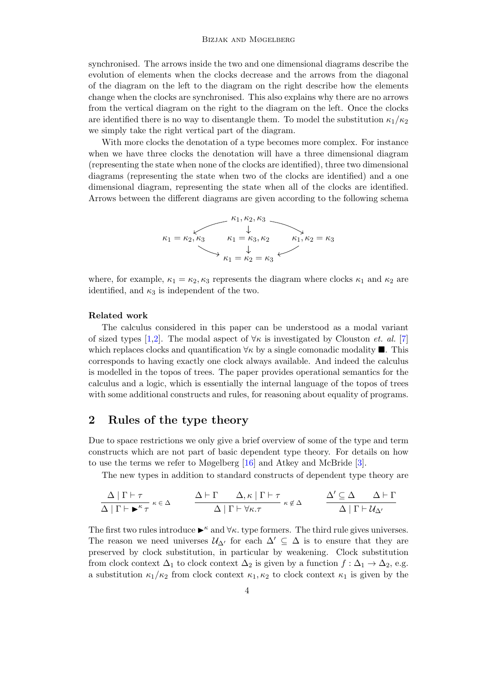#### Bizjak and Møgelberg

synchronised. The arrows inside the two and one dimensional diagrams describe the evolution of elements when the clocks decrease and the arrows from the diagonal of the diagram on the left to the diagram on the right describe how the elements change when the clocks are synchronised. This also explains why there are no arrows from the vertical diagram on the right to the diagram on the left. Once the clocks are identified there is no way to disentangle them. To model the substitution  $\kappa_1/\kappa_2$ we simply take the right vertical part of the diagram.

With more clocks the denotation of a type becomes more complex. For instance when we have three clocks the denotation will have a three dimensional diagram (representing the state when none of the clocks are identified), three two dimensional diagrams (representing the state when two of the clocks are identified) and a one dimensional diagram, representing the state when all of the clocks are identified. Arrows between the different diagrams are given according to the following schema

$$
\kappa_1 = \kappa_2, \kappa_3 \qquad \kappa_1 = \kappa_3, \kappa_2 \qquad \kappa_1, \kappa_2 = \kappa_3
$$
\n
$$
\kappa_1 = \kappa_2 = \kappa_3
$$
\n
$$
\kappa_1 = \kappa_2 = \kappa_3
$$

where, for example,  $\kappa_1 = \kappa_2, \kappa_3$  represents the diagram where clocks  $\kappa_1$  and  $\kappa_2$  are identified, and  $\kappa_3$  is independent of the two.

### Related work

The calculus considered in this paper can be understood as a modal variant of sized types [\[1,](#page-17-8)[2\]](#page-17-9). The modal aspect of  $\forall \kappa$  is investigated by Clouston *et. al.* [\[7\]](#page-17-10) which replaces clocks and quantification  $\forall \kappa$  by a single comonadic modality  $\blacksquare$ . This corresponds to having exactly one clock always available. And indeed the calculus is modelled in the topos of trees. The paper provides operational semantics for the calculus and a logic, which is essentially the internal language of the topos of trees with some additional constructs and rules, for reasoning about equality of programs.

### 2 Rules of the type theory

Due to space restrictions we only give a brief overview of some of the type and term constructs which are not part of basic dependent type theory. For details on how to use the terms we refer to Møgelberg [\[16\]](#page-17-5) and Atkey and McBride [\[3\]](#page-17-4).

The new types in addition to standard constructs of dependent type theory are

$$
\frac{\Delta \mid \Gamma \vdash \tau}{\Delta \mid \Gamma \vdash \blacktriangleright^{\kappa} \tau} \; \kappa \in \Delta \qquad \frac{\Delta \vdash \Gamma \quad \Delta, \kappa \mid \Gamma \vdash \tau}{\Delta \mid \Gamma \vdash \forall \kappa. \tau} \; \kappa \notin \Delta \qquad \frac{\Delta' \subseteq \Delta \quad \Delta \vdash \Gamma}{\Delta \mid \Gamma \vdash \mathcal{U}_{\Delta'}}
$$

The first two rules introduce  $\blacktriangleright^{\kappa}$  and  $\forall \kappa$ . type formers. The third rule gives universes. The reason we need universes  $\mathcal{U}_{\Delta'}$  for each  $\Delta' \subseteq \Delta$  is to ensure that they are preserved by clock substitution, in particular by weakening. Clock substitution from clock context  $\Delta_1$  to clock context  $\Delta_2$  is given by a function  $f : \Delta_1 \to \Delta_2$ , e.g. a substitution  $\kappa_1/\kappa_2$  from clock context  $\kappa_1, \kappa_2$  to clock context  $\kappa_1$  is given by the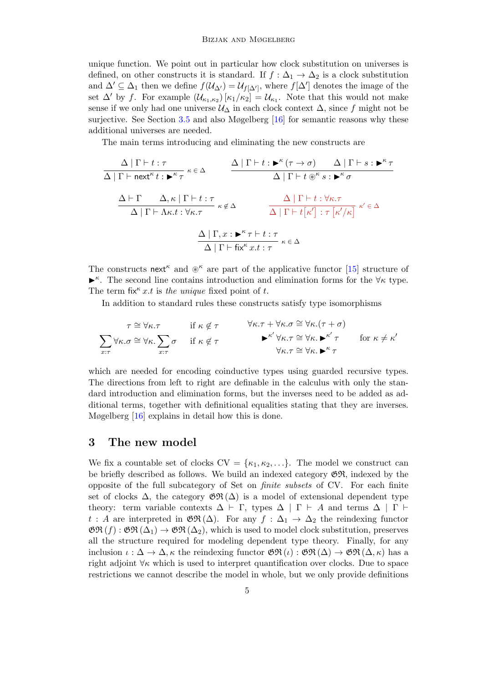unique function. We point out in particular how clock substitution on universes is defined, on other constructs it is standard. If  $f : \Delta_1 \to \Delta_2$  is a clock substitution and  $\Delta' \subseteq \Delta_1$  then we define  $f(\mathcal{U}_{\Delta'}) = \mathcal{U}_{f[\Delta']}$ , where  $f[\Delta']$  denotes the image of the set  $\Delta'$  by f. For example  $(\mathcal{U}_{\kappa_1,\kappa_2})\left[\kappa_1/\kappa_2\right] = \mathcal{U}_{\kappa_1}$ . Note that this would not make sense if we only had one universe  $\mathcal{U}_{\Delta}$  in each clock context  $\Delta$ , since f might not be surjective. See Section [3.5](#page-14-0) and also Møgelberg [\[16\]](#page-17-5) for semantic reasons why these additional universes are needed.

The main terms introducing and eliminating the new constructs are

∆ | Γ ` t : τ ∆ | Γ ` next<sup>κ</sup> t : I κ τ κ ∈ ∆ ∆ | Γ ` t : I κ (τ → σ) ∆ | Γ ` s : I κ τ ∆ | Γ ` t ~ κ s : I <sup>κ</sup> σ ∆ ` Γ ∆, κ | Γ ` t : τ ∆ | Γ ` Λκ.t : ∀κ.τ κ 6∈ ∆ ∆ | Γ ` t : ∀κ.τ ∆ | Γ ` t κ 0 : τ κ 0 /κ <sup>κ</sup> <sup>0</sup> ∈ ∆ ∆ | Γ, x : I κ τ ` t : τ ∆ | Γ ` fix<sup>κ</sup> x.t : τ κ ∈ ∆

The constructs next<sup><sub>κ</sup></sub> and  $\mathcal{X}^{\kappa}$  are part of the applicative functor [\[15\]](#page-17-11) structure of</sup>  $\blacktriangleright^{\kappa}$ . The second line contains introduction and elimination forms for the  $\forall \kappa$  type. The term fix<sup> $\kappa$ </sup> x.t is the unique fixed point of t.

In addition to standard rules these constructs satisfy type isomorphisms

$$
\tau \cong \forall \kappa.\tau \quad \text{if } \kappa \notin \tau \quad \forall \kappa.\tau + \forall \kappa.\sigma \cong \forall \kappa.(\tau + \sigma)
$$
  

$$
\sum_{x:\tau} \forall \kappa.\sigma \cong \forall \kappa. \sum_{x:\tau} \sigma \quad \text{if } \kappa \notin \tau \quad \forall \kappa.\tau \cong \forall \kappa. \blacktriangleright^{\kappa'} \tau \quad \text{for } \kappa \neq \kappa'
$$
  

$$
\forall \kappa. \tau \cong \forall \kappa. \blacktriangleright^{\kappa'} \tau \quad \text{for } \kappa \neq \kappa'
$$

which are needed for encoding coinductive types using guarded recursive types. The directions from left to right are definable in the calculus with only the standard introduction and elimination forms, but the inverses need to be added as additional terms, together with definitional equalities stating that they are inverses. Møgelberg [\[16\]](#page-17-5) explains in detail how this is done.

## 3 The new model

We fix a countable set of clocks  $CV = \{\kappa_1, \kappa_2, ...\}$ . The model we construct can be briefly described as follows. We build an indexed category  $\mathfrak{GR}$ , indexed by the opposite of the full subcategory of Set on finite subsets of CV. For each finite set of clocks  $\Delta$ , the category  $\mathfrak{GR}(\Delta)$  is a model of extensional dependent type theory: term variable contexts  $\Delta \vdash \Gamma$ , types  $\Delta \mid \Gamma \vdash A$  and terms  $\Delta \mid \Gamma \vdash \Gamma$ t : A are interpreted in  $\mathfrak{GR}(\Delta)$ . For any  $f : \Delta_1 \to \Delta_2$  the reindexing functor  $\mathfrak{GR}(f) : \mathfrak{GR}(\Delta_1) \to \mathfrak{GR}(\Delta_2)$ , which is used to model clock substitution, preserves all the structure required for modeling dependent type theory. Finally, for any inclusion  $\iota : \Delta \to \Delta, \kappa$  the reindexing functor  $\mathfrak{GR}(\iota): \mathfrak{GR}(\Delta) \to \mathfrak{GR}(\Delta, \kappa)$  has a right adjoint  $\forall \kappa$  which is used to interpret quantification over clocks. Due to space restrictions we cannot describe the model in whole, but we only provide definitions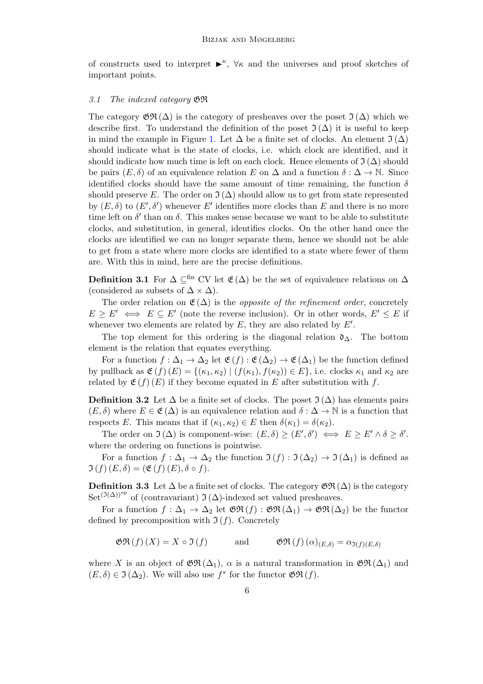of constructs used to interpret  $\blacktriangleright^{\kappa}$ ,  $\forall \kappa$  and the universes and proof sketches of important points.

#### 3.1 The indexed category GR

The category  $\mathfrak{GR}(\Delta)$  is the category of presheaves over the poset  $\mathfrak{I}(\Delta)$  which we describe first. To understand the definition of the poset  $\mathfrak{I}(\Delta)$  it is useful to keep in mind the example in Figure [1.](#page-2-0) Let  $\Delta$  be a finite set of clocks. An element  $\mathfrak{I}(\Delta)$ should indicate what is the state of clocks, i.e. which clock are identified, and it should indicate how much time is left on each clock. Hence elements of  $\mathfrak{I}(\Delta)$  should be pairs  $(E, \delta)$  of an equivalence relation E on  $\Delta$  and a function  $\delta : \Delta \to \mathbb{N}$ . Since identified clocks should have the same amount of time remaining, the function  $\delta$ should preserve E. The order on  $\mathfrak{I}(\Delta)$  should allow us to get from state represented by  $(E, \delta)$  to  $(E', \delta')$  whenever E' identifies more clocks than E and there is no more time left on  $\delta'$  than on  $\delta$ . This makes sense because we want to be able to substitute clocks, and substitution, in general, identifies clocks. On the other hand once the clocks are identified we can no longer separate them, hence we should not be able to get from a state where more clocks are identified to a state where fewer of them are. With this in mind, here are the precise definitions.

Definition 3.1 For  $\Delta \subseteq^{\text{fin}}$  CV let  $\mathfrak{E}(\Delta)$  be the set of equivalence relations on  $\Delta$ (considered as subsets of  $\Delta \times \Delta$ ).

The order relation on  $\mathfrak{E}(\Delta)$  is the *opposite of the refinement order*, concretely  $E \ge E' \iff E \subseteq E'$  (note the reverse inclusion). Or in other words,  $E' \le E$  if whenever two elements are related by  $E$ , they are also related by  $E'$ .

The top element for this ordering is the diagonal relation  $\mathfrak{d}_{\Delta}$ . The bottom element is the relation that equates everything.

For a function  $f: \Delta_1 \to \Delta_2$  let  $\mathfrak{E}(f): \mathfrak{E}(\Delta_2) \to \mathfrak{E}(\Delta_1)$  be the function defined by pullback as  $\mathfrak{E}(f)(E) = \{(\kappa_1, \kappa_2) | (f(\kappa_1), f(\kappa_2)) \in E\}$ , i.e. clocks  $\kappa_1$  and  $\kappa_2$  are related by  $\mathfrak{E}(f)(E)$  if they become equated in E after substitution with f.

**Definition 3.2** Let  $\Delta$  be a finite set of clocks. The poset  $\Im(\Delta)$  has elements pairs  $(E, \delta)$  where  $E \in \mathfrak{E}(\Delta)$  is an equivalence relation and  $\delta : \Delta \to \mathbb{N}$  is a function that respects E. This means that if  $(\kappa_1, \kappa_2) \in E$  then  $\delta(\kappa_1) = \delta(\kappa_2)$ .

The order on  $\Im(\Delta)$  is component-wise:  $(E, \delta) \ge (E', \delta') \iff E \ge E' \land \delta \ge \delta'.$ where the ordering on functions is pointwise.

For a function  $f : \Delta_1 \to \Delta_2$  the function  $\mathfrak{I}(f) : \mathfrak{I}(\Delta_2) \to \mathfrak{I}(\Delta_1)$  is defined as  $\mathfrak{I}(f)(E,\delta) = (\mathfrak{E}(f)(E), \delta \circ f).$ 

Definition 3.3 Let  $\Delta$  be a finite set of clocks. The category  $\mathfrak{GR}(\Delta)$  is the category Set<sup>(J( $\Delta$ ))<sup>op</sup> of (contravariant) J( $\Delta$ )-indexed set valued presheaves.</sup>

For a function  $f: \Delta_1 \to \Delta_2$  let  $\mathfrak{GR}(f): \mathfrak{GR}(\Delta_1) \to \mathfrak{GR}(\Delta_2)$  be the functor defined by precomposition with  $\mathfrak{I}(f)$ . Concretely

$$
\mathfrak{GR}(f)(X) = X \circ \mathfrak{I}(f) \qquad \text{and} \qquad \mathfrak{GR}(f)(\alpha)_{(E,\delta)} = \alpha_{\mathfrak{I}(f)(E,\delta)}
$$

where X is an object of  $\mathfrak{GR}(\Delta_1)$ ,  $\alpha$  is a natural transformation in  $\mathfrak{GR}(\Delta_1)$  and  $(E, \delta) \in \mathfrak{I}(\Delta_2)$ . We will also use  $f^*$  for the functor  $\mathfrak{GR}(f)$ .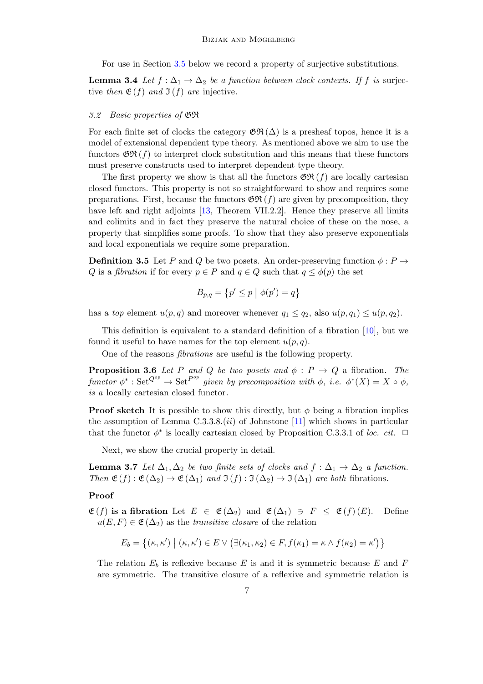For use in Section [3.5](#page-14-0) below we record a property of surjective substitutions.

<span id="page-6-0"></span>**Lemma 3.4** Let  $f : \Delta_1 \to \Delta_2$  be a function between clock contexts. If f is surjective then  $\mathfrak{E}(f)$  and  $\mathfrak{I}(f)$  are injective.

#### 3.2 Basic properties of GR

For each finite set of clocks the category  $\mathfrak{GR}(\Delta)$  is a presheaf topos, hence it is a model of extensional dependent type theory. As mentioned above we aim to use the functors  $\mathfrak{GR}(f)$  to interpret clock substitution and this means that these functors must preserve constructs used to interpret dependent type theory.

The first property we show is that all the functors  $\mathfrak{GR}(f)$  are locally cartesian closed functors. This property is not so straightforward to show and requires some preparations. First, because the functors  $\mathfrak{GR}(f)$  are given by precomposition, they have left and right adjoints [\[13,](#page-17-12) Theorem VII.2.2]. Hence they preserve all limits and colimits and in fact they preserve the natural choice of these on the nose, a property that simplifies some proofs. To show that they also preserve exponentials and local exponentials we require some preparation.

**Definition 3.5** Let P and Q be two posets. An order-preserving function  $\phi : P \to$ Q is a fibration if for every  $p \in P$  and  $q \in Q$  such that  $q \leq \phi(p)$  the set

$$
B_{p,q} = \{p' \le p \mid \phi(p') = q\}
$$

has a top element  $u(p,q)$  and moreover whenever  $q_1 \leq q_2$ , also  $u(p,q_1) \leq u(p,q_2)$ .

This definition is equivalent to a standard definition of a fibration [\[10\]](#page-17-13), but we found it useful to have names for the top element  $u(p, q)$ .

One of the reasons fibrations are useful is the following property.

**Proposition 3.6** Let P and Q be two posets and  $\phi$  :  $P \rightarrow Q$  a fibration. The functor  $\phi^* : \operatorname{Set}^{Q^{op}} \to \operatorname{Set}^{Pop}$  given by precomposition with  $\phi$ , i.e.  $\phi^*(X) = X \circ \phi$ , is a locally cartesian closed functor.

**Proof sketch** It is possible to show this directly, but  $\phi$  being a fibration implies the assumption of Lemma  $C.3.3.8.$  (*ii*) of Johnstone [\[11\]](#page-17-14) which shows in particular that the functor  $\phi^*$  is locally cartesian closed by Proposition C.3.3.1 of loc. cit.  $\Box$ 

Next, we show the crucial property in detail.

<span id="page-6-1"></span>**Lemma 3.7** Let  $\Delta_1, \Delta_2$  be two finite sets of clocks and  $f : \Delta_1 \rightarrow \Delta_2$  a function. Then  $\mathfrak{E}(f) : \mathfrak{E}(\Delta_2) \to \mathfrak{E}(\Delta_1)$  and  $\mathfrak{I}(f) : \mathfrak{I}(\Delta_2) \to \mathfrak{I}(\Delta_1)$  are both fibrations.

#### Proof

 $\mathfrak{E}(f)$  is a fibration Let  $E \in \mathfrak{E}(\Delta_2)$  and  $\mathfrak{E}(\Delta_1) \ni F \leq \mathfrak{E}(f)(E)$ . Define  $u(E, F) \in \mathfrak{E}(\Delta_2)$  as the transitive closure of the relation

$$
E_b = \{ (\kappa, \kappa') \mid (\kappa, \kappa') \in E \vee (\exists (\kappa_1, \kappa_2) \in F, f(\kappa_1) = \kappa \wedge f(\kappa_2) = \kappa' ) \}
$$

The relation  $E_b$  is reflexive because E is and it is symmetric because E and F are symmetric. The transitive closure of a reflexive and symmetric relation is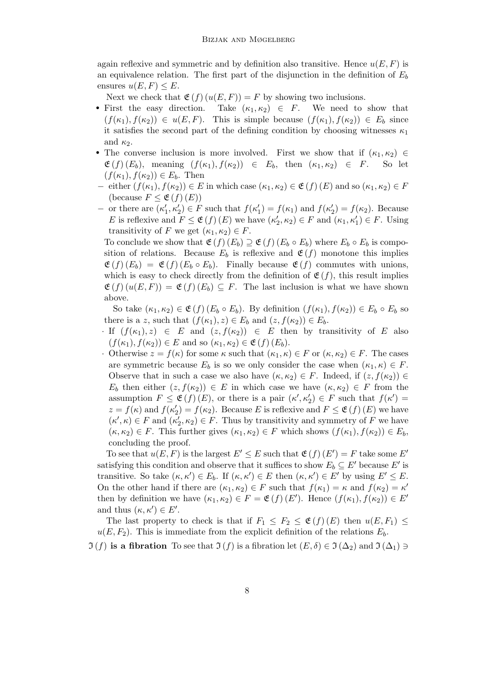again reflexive and symmetric and by definition also transitive. Hence  $u(E, F)$  is an equivalence relation. The first part of the disjunction in the definition of  $E<sub>b</sub>$ ensures  $u(E, F) \leq E$ .

Next we check that  $\mathfrak{E}(f)(u(E, F)) = F$  by showing two inclusions.

- First the easy direction. Take  $(\kappa_1, \kappa_2) \in F$ . We need to show that  $(f(\kappa_1), f(\kappa_2)) \in u(E, F)$ . This is simple because  $(f(\kappa_1), f(\kappa_2)) \in E_b$  since it satisfies the second part of the defining condition by choosing witnesses  $\kappa_1$ and  $\kappa_2$ .
- The converse inclusion is more involved. First we show that if  $(\kappa_1, \kappa_2) \in$  $\mathfrak{E}(f)(E_b)$ , meaning  $(f(\kappa_1), f(\kappa_2)) \in E_b$ , then  $(\kappa_1, \kappa_2) \in F$ . So let  $(f(\kappa_1), f(\kappa_2)) \in E_b$ . Then
- − either  $(f(\kappa_1), f(\kappa_2)) \in E$  in which case  $(\kappa_1, \kappa_2) \in \mathfrak{E}(f)(E)$  and so  $(\kappa_1, \kappa_2) \in F$ (because  $F \leq \mathfrak{E}(f)(E)$ )
- − or there are  $(κ'_1, κ'_2) ∈ F$  such that  $f(κ'_1) = f(κ_1)$  and  $f(κ'_2) = f(κ_2)$ . Because E is reflexive and  $F \leq \mathfrak{E}(f)(E)$  we have  $(\kappa_2', \kappa_2) \in F$  and  $(\kappa_1, \kappa_1') \in F$ . Using transitivity of F we get  $(\kappa_1, \kappa_2) \in F$ .

To conclude we show that  $\mathfrak{E}(f)(E_b) \supseteq \mathfrak{E}(f)(E_b \circ E_b)$  where  $E_b \circ E_b$  is composition of relations. Because  $E_b$  is reflexive and  $\mathfrak{E}(f)$  monotone this implies  $\mathfrak{E}(f)(E_b) = \mathfrak{E}(f)(E_b \circ E_b)$ . Finally because  $\mathfrak{E}(f)$  commutes with unions, which is easy to check directly from the definition of  $\mathfrak{E}(f)$ , this result implies  $\mathfrak{E}(f)(u(E, F)) = \mathfrak{E}(f)(E_b) \subseteq F$ . The last inclusion is what we have shown above.

So take  $(\kappa_1, \kappa_2) \in \mathfrak{E}(f)$   $(E_b \circ E_b)$ . By definition  $(f(\kappa_1), f(\kappa_2)) \in E_b \circ E_b$  so there is a z, such that  $(f(\kappa_1), z) \in E_b$  and  $(z, f(\kappa_2)) \in E_b$ .

- · If  $(f(\kappa_1), z) \in E$  and  $(z, f(\kappa_2)) \in E$  then by transitivity of E also  $(f(\kappa_1), f(\kappa_2)) \in E$  and so  $(\kappa_1, \kappa_2) \in \mathfrak{E}(f)(E_b)$ .
- Otherwise  $z = f(\kappa)$  for some  $\kappa$  such that  $(\kappa_1, \kappa) \in F$  or  $(\kappa, \kappa_2) \in F$ . The cases are symmetric because  $E_b$  is so we only consider the case when  $(\kappa_1, \kappa) \in F$ . Observe that in such a case we also have  $(\kappa, \kappa_2) \in F$ . Indeed, if  $(z, f(\kappa_2)) \in$  $E_b$  then either  $(z, f(\kappa_2)) \in E$  in which case we have  $(\kappa, \kappa_2) \in F$  from the assumption  $F \leq \mathfrak{E}(f)(E)$ , or there is a pair  $(\kappa', \kappa_2') \in F$  such that  $f(\kappa') =$  $z = f(\kappa)$  and  $f(\kappa'_2) = f(\kappa_2)$ . Because E is reflexive and  $F \leq \mathfrak{E}(f)(E)$  we have  $(\kappa', \kappa) \in F$  and  $(\kappa'_2, \kappa_2) \in F$ . Thus by transitivity and symmetry of F we have  $(\kappa, \kappa_2) \in F$ . This further gives  $(\kappa_1, \kappa_2) \in F$  which shows  $(f(\kappa_1), f(\kappa_2)) \in E_b$ , concluding the proof.

To see that  $u(E, F)$  is the largest  $E' \le E$  such that  $\mathfrak{E}(f)(E') = F$  take some E' satisfying this condition and observe that it suffices to show  $E_b \subseteq E'$  because  $E'$  is transitive. So take  $(\kappa, \kappa') \in E_b$ . If  $(\kappa, \kappa') \in E$  then  $(\kappa, \kappa') \in E'$  by using  $E' \leq E$ . On the other hand if there are  $(\kappa_1, \kappa_2) \in F$  such that  $f(\kappa_1) = \kappa$  and  $f(\kappa_2) = \kappa'$ then by definition we have  $(\kappa_1, \kappa_2) \in F = \mathfrak{E}(f)(E')$ . Hence  $(f(\kappa_1), f(\kappa_2)) \in E'$ and thus  $(\kappa, \kappa') \in E'$ .

The last property to check is that if  $F_1 \leq F_2 \leq \mathfrak{E}(f)(E)$  then  $u(E, F_1) \leq$  $u(E, F_2)$ . This is immediate from the explicit definition of the relations  $E_b$ .

 $\mathfrak{I}(f)$  is a fibration To see that  $\mathfrak{I}(f)$  is a fibration let  $(E, \delta) \in \mathfrak{I}(\Delta_2)$  and  $\mathfrak{I}(\Delta_1) \ni$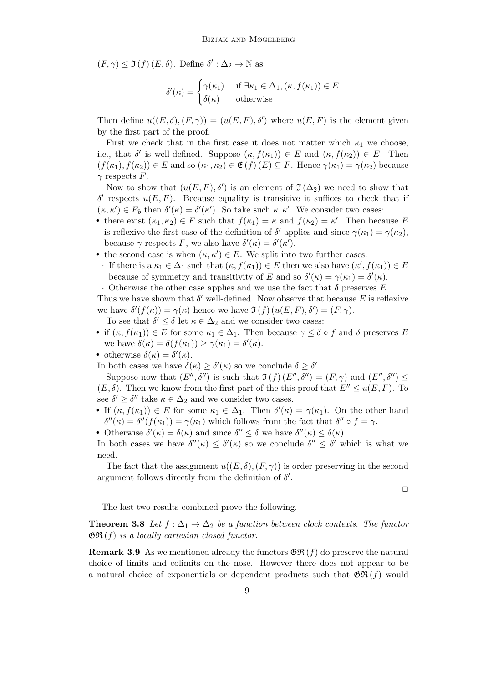$(F, \gamma) \leq \Im(f)(E, \delta)$ . Define  $\delta' : \Delta_2 \to \mathbb{N}$  as

$$
\delta'(\kappa) = \begin{cases} \gamma(\kappa_1) & \text{if } \exists \kappa_1 \in \Delta_1, (\kappa, f(\kappa_1)) \in E \\ \delta(\kappa) & \text{otherwise} \end{cases}
$$

Then define  $u((E,\delta),(F,\gamma)) = (u(E,F),\delta')$  where  $u(E,F)$  is the element given by the first part of the proof.

First we check that in the first case it does not matter which  $\kappa_1$  we choose, i.e., that  $\delta'$  is well-defined. Suppose  $(\kappa, f(\kappa_1)) \in E$  and  $(\kappa, f(\kappa_2)) \in E$ . Then  $(f(\kappa_1), f(\kappa_2)) \in E$  and so  $(\kappa_1, \kappa_2) \in \mathfrak{E}(f)(E) \subseteq F$ . Hence  $\gamma(\kappa_1) = \gamma(\kappa_2)$  because  $\gamma$  respects F.

Now to show that  $(u(E, F), \delta')$  is an element of  $\mathfrak{I}(\Delta_2)$  we need to show that δ' respects  $u(E, F)$ . Because equality is transitive it suffices to check that if  $(\kappa, \kappa') \in E_b$  then  $\delta'(\kappa) = \delta'(\kappa')$ . So take such  $\kappa, \kappa'$ . We consider two cases:

- there exist  $(\kappa_1, \kappa_2) \in F$  such that  $f(\kappa_1) = \kappa$  and  $f(\kappa_2) = \kappa'$ . Then because E is reflexive the first case of the definition of  $\delta'$  applies and since  $\gamma(\kappa_1) = \gamma(\kappa_2)$ , because  $\gamma$  respects F, we also have  $\delta'(\kappa) = \delta'(\kappa')$ .
- the second case is when  $(\kappa, \kappa') \in E$ . We split into two further cases.
- $\cdot$  If there is a  $\kappa_1 \in \Delta_1$  such that  $(\kappa, f(\kappa_1)) \in E$  then we also have  $(\kappa', f(\kappa_1)) \in E$ because of symmetry and transitivity of E and so  $\delta'(\kappa) = \gamma(\kappa_1) = \delta'(\kappa)$ .

 $\cdot$  Otherwise the other case applies and we use the fact that  $\delta$  preserves E.

Thus we have shown that  $\delta'$  well-defined. Now observe that because E is reflexive we have  $\delta'(f(\kappa)) = \gamma(\kappa)$  hence we have  $\mathfrak{I}(f)(u(E, F), \delta') = (F, \gamma)$ .

To see that  $\delta' \leq \delta$  let  $\kappa \in \Delta_2$  and we consider two cases:

- if  $(\kappa, f(\kappa_1)) \in E$  for some  $\kappa_1 \in \Delta_1$ . Then because  $\gamma \leq \delta \circ f$  and  $\delta$  preserves E we have  $\delta(\kappa) = \delta(f(\kappa_1)) \ge \gamma(\kappa_1) = \delta'(\kappa)$ .
- otherwise  $\delta(\kappa) = \delta'(\kappa)$ .
- In both cases we have  $\delta(\kappa) \geq \delta'(\kappa)$  so we conclude  $\delta \geq \delta'$ .

Suppose now that  $(E'', \delta'')$  is such that  $\mathfrak{I}(f)(E'', \delta'') = (F, \gamma)$  and  $(E'', \delta'') \leq$  $(E, \delta)$ . Then we know from the first part of the this proof that  $E'' \leq u(E, F)$ . To see  $\delta' \geq \delta''$  take  $\kappa \in \Delta_2$  and we consider two cases.

- If  $(\kappa, f(\kappa_1)) \in E$  for some  $\kappa_1 \in \Delta_1$ . Then  $\delta'(\kappa) = \gamma(\kappa_1)$ . On the other hand  $\delta''(\kappa) = \delta''(f(\kappa_1)) = \gamma(\kappa_1)$  which follows from the fact that  $\delta'' \circ f = \gamma$ .
- Otherwise  $\delta'(\kappa) = \delta(\kappa)$  and since  $\delta'' \leq \delta$  we have  $\delta''(\kappa) \leq \delta(\kappa)$ .

In both cases we have  $\delta''(\kappa) \leq \delta'(\kappa)$  so we conclude  $\delta'' \leq \delta'$  which is what we need.

The fact that the assignment  $u((E, \delta), (F, \gamma))$  is order preserving in the second argument follows directly from the definition of  $\delta'$ .

 $\Box$ 

The last two results combined prove the following.

<span id="page-8-0"></span>**Theorem 3.8** Let  $f : \Delta_1 \to \Delta_2$  be a function between clock contexts. The functor  $\mathfrak{GR}(f)$  is a locally cartesian closed functor.

**Remark 3.9** As we mentioned already the functors  $\mathfrak{GR}(f)$  do preserve the natural choice of limits and colimits on the nose. However there does not appear to be a natural choice of exponentials or dependent products such that  $\mathfrak{GR}(f)$  would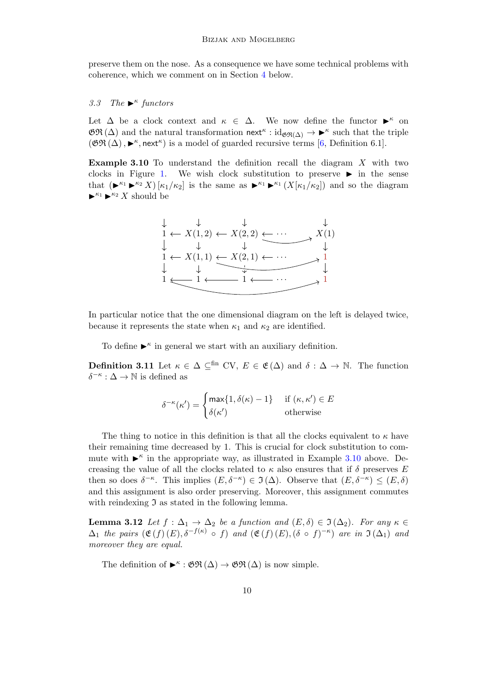preserve them on the nose. As a consequence we have some technical problems with coherence, which we comment on in Section [4](#page-16-0) below.

## 3.3 The  $\blacktriangleright^{\kappa}$  functors

Let  $\Delta$  be a clock context and  $\kappa \in \Delta$ . We now define the functor  $\blacktriangleright^{\kappa}$  on  $\mathfrak{GR}(\Delta)$  and the natural transformation  $\mathsf{next}^{\kappa} : \mathrm{id}_{\mathfrak{GR}(\Delta)} \to \blacktriangleright^{\kappa}$  such that the triple  $(\mathfrak{GR}(\Delta), \blacktriangleright^{\kappa}, \mathsf{next}^{\kappa})$  is a model of guarded recursive terms [\[6,](#page-17-1) Definition 6.1].

<span id="page-9-0"></span>Example 3.10 To understand the definition recall the diagram X with two clocks in Figure [1.](#page-2-0) We wish clock substitution to preserve  $\blacktriangleright$  in the sense that  $(\blacktriangleright^{\kappa_1} \blacktriangleright^{\kappa_2} X) [\kappa_1/\kappa_2]$  is the same as  $\blacktriangleright^{\kappa_1} \blacktriangleright^{\kappa_1} (X[\kappa_1/\kappa_2])$  and so the diagram  $\blacktriangleright^{\kappa_1} \blacktriangleright^{\kappa_2} X$  should be



In particular notice that the one dimensional diagram on the left is delayed twice, because it represents the state when  $\kappa_1$  and  $\kappa_2$  are identified.

To define  $\blacktriangleright^{\kappa}$  in general we start with an auxiliary definition.

**Definition 3.11** Let  $\kappa \in \Delta \subset^{\text{fin}}$  CV,  $E \in \mathfrak{E}(\Delta)$  and  $\delta : \Delta \to \mathbb{N}$ . The function  $\delta^{-\kappa} : \Delta \to \mathbb{N}$  is defined as

$$
\delta^{-\kappa}(\kappa') = \begin{cases} \max\{1, \delta(\kappa) - 1\} & \text{if } (\kappa, \kappa') \in E \\ \delta(\kappa') & \text{otherwise} \end{cases}
$$

The thing to notice in this definition is that all the clocks equivalent to  $\kappa$  have their remaining time decreased by 1. This is crucial for clock substitution to commute with  $\blacktriangleright^{\kappa}$  in the appropriate way, as illustrated in Example [3.10](#page-9-0) above. Decreasing the value of all the clocks related to  $\kappa$  also ensures that if  $\delta$  preserves E then so does  $\delta^{-\kappa}$ . This implies  $(E, \delta^{-\kappa}) \in \mathfrak{I}(\Delta)$ . Observe that  $(E, \delta^{-\kappa}) \leq (E, \delta)$ and this assignment is also order preserving. Moreover, this assignment commutes with reindexing  $\mathfrak I$  as stated in the following lemma.

**Lemma 3.12** Let  $f : \Delta_1 \to \Delta_2$  be a function and  $(E, \delta) \in \mathfrak{I}(\Delta_2)$ . For any  $\kappa \in$  $\Delta_1$  the pairs  $(\mathfrak{E}(f)(E), \delta^{-f(\kappa)} \circ f)$  and  $(\mathfrak{E}(f)(E), (\delta \circ f)^{-\kappa})$  are in  $\mathfrak{I}(\Delta_1)$  and moreover they are equal.

The definition of  $\blacktriangleright^{\kappa}$ :  $\mathfrak{GR}(\Delta) \to \mathfrak{GR}(\Delta)$  is now simple.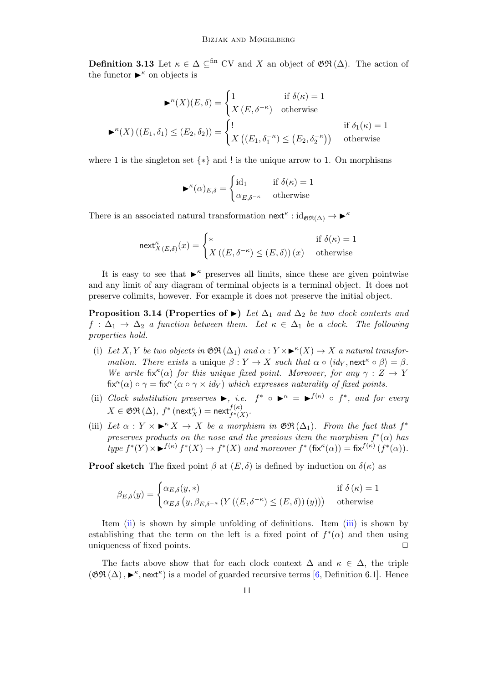**Definition 3.13** Let  $\kappa \in \Delta \subset^{\text{fin}}$  CV and X an object of  $\mathfrak{GR}(\Delta)$ . The action of the functor  $\blacktriangleright^{\kappa}$  on objects is

$$
\blacktriangleright^{\kappa}(X)(E,\delta) = \begin{cases} 1 & \text{if } \delta(\kappa) = 1 \\ X(E,\delta^{-\kappa}) & \text{otherwise} \end{cases}
$$

$$
\blacktriangleright^{\kappa}(X)((E_1,\delta_1) \le (E_2,\delta_2)) = \begin{cases} 1 & \text{if } \delta_1(\kappa) = 1 \\ X((E_1,\delta_1^{-\kappa}) \le (E_2,\delta_2^{-\kappa})) & \text{otherwise} \end{cases}
$$

where 1 is the singleton set  $\{*\}$  and ! is the unique arrow to 1. On morphisms

$$
\blacktriangleright^{\kappa}(\alpha)_{E,\delta} = \begin{cases} \mathrm{id}_1 & \text{if } \delta(\kappa) = 1\\ \alpha_{E,\delta^{-\kappa}} & \text{otherwise} \end{cases}
$$

There is an associated natural transformation  $\mathsf{next}^{\kappa} : \mathrm{id}_{\mathfrak{GR}(\Delta)} \to \blacktriangleright^{\kappa}$ 

$$
\operatorname{next}_{X(E,\delta)}^{\kappa}(x) = \begin{cases} * & \text{if } \delta(\kappa) = 1\\ X\left((E,\delta^{-\kappa}) \le (E,\delta)\right)(x) & \text{otherwise} \end{cases}
$$

It is easy to see that  $\blacktriangleright^{\kappa}$  preserves all limits, since these are given pointwise and any limit of any diagram of terminal objects is a terminal object. It does not preserve colimits, however. For example it does not preserve the initial object.

<span id="page-10-2"></span>**Proposition 3.14 (Properties of**  $\blacktriangleright$ **)** Let  $\Delta_1$  and  $\Delta_2$  be two clock contexts and  $f : \Delta_1 \to \Delta_2$  a function between them. Let  $\kappa \in \Delta_1$  be a clock. The following properties hold.

- (i) Let X, Y be two objects in  $\mathfrak{GR}(\Delta_1)$  and  $\alpha: Y \times \blacktriangleright^{\kappa}(X) \to X$  a natural transformation. There exists a unique  $\beta: Y \to X$  such that  $\alpha \circ \langle id_Y, \text{next}^{\kappa} \circ \beta \rangle = \beta$ . We write fix<sup>k</sup>( $\alpha$ ) for this unique fixed point. Moreover, for any  $\gamma : Z \to Y$  $\operatorname{fix}^{\kappa}(\alpha) \circ \gamma = \operatorname{fix}^{\kappa}(\alpha \circ \gamma \times id_Y)$  which expresses naturality of fixed points.
- <span id="page-10-0"></span>(ii) Clock substitution preserves  $\blacktriangleright$ , i.e.  $f^* \circ \blacktriangleright^{\kappa} = \blacktriangleright^{f(\kappa)} \circ f^*$ , and for every  $X\in \mathfrak{GR}\left(\Delta\right)$ ,  $f^*\left(\mathsf{next}^\kappa_X\right)=\mathsf{next}^{f(\kappa)}_{f^*(X)}.$
- <span id="page-10-1"></span>(iii) Let  $\alpha: Y \times \rightarrow^{\kappa} X \rightarrow X$  be a morphism in  $\mathfrak{GR}(\Delta_1)$ . From the fact that  $f^*$ preserves products on the nose and the previous item the morphism  $f^*(\alpha)$  has type  $f^*(Y) \times \blacktriangleright^{f(\kappa)} f^*(X) \to f^*(X)$  and moreover  $f^*$  (fix<sup> $\kappa(\alpha)$ </sup>) = fix<sup> $f^{(\kappa)}(f^*(\alpha))$ .</sup>

**Proof sketch** The fixed point  $\beta$  at  $(E, \delta)$  is defined by induction on  $\delta(\kappa)$  as

$$
\beta_{E,\delta}(y) = \begin{cases} \alpha_{E,\delta}(y,*) & \text{if } \delta(\kappa) = 1\\ \alpha_{E,\delta}(y, \beta_{E,\delta^{-\kappa}}(Y((E,\delta^{-\kappa}) \le (E,\delta))(y))) & \text{otherwise} \end{cases}
$$

Item [\(ii\)](#page-10-0) is shown by simple unfolding of definitions. Item [\(iii\)](#page-10-1) is shown by establishing that the term on the left is a fixed point of  $f^*(\alpha)$  and then using uniqueness of fixed points.  $\Box$ 

The facts above show that for each clock context  $\Delta$  and  $\kappa \in \Delta$ , the triple  $(\mathfrak{GR}(\Delta), \blacktriangleright^{\kappa}, \mathsf{next}^{\kappa})$  is a model of guarded recursive terms [\[6,](#page-17-1) Definition 6.1]. Hence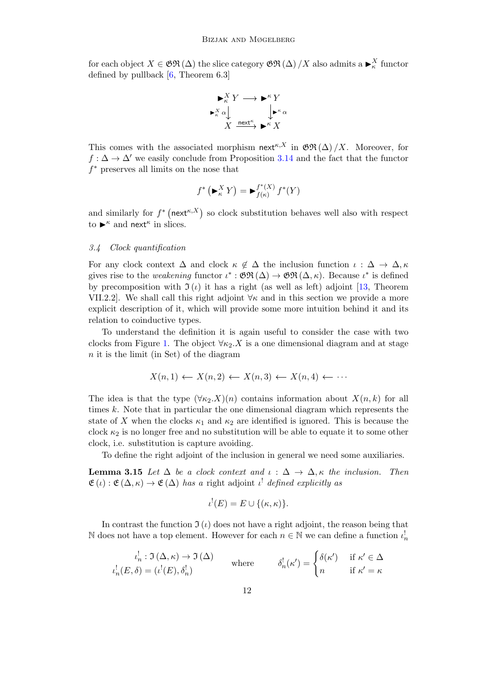for each object  $X \in \mathfrak{GR}(\Delta)$  the slice category  $\mathfrak{GR}(\Delta)/X$  also admits a  $\blacktriangleright^X_\kappa$  functor defined by pullback  $[6,$  Theorem 6.3]

$$
\begin{array}{c}\n\blacktriangleright^K_K Y \longrightarrow \blacktriangleright^K Y \\
\blacktriangleright^K_\kappa \alpha \downarrow \qquad \qquad \downarrow \blacktriangleright^K \alpha \\
X \xrightarrow{\text{next}^{\kappa}} \blacktriangleright^K X\n\end{array}
$$

This comes with the associated morphism next<sup> $\kappa$ ,X</sup> in  $\mathfrak{GR}(\Delta)/X$ . Moreover, for  $f : \Delta \to \Delta'$  we easily conclude from Proposition [3.14](#page-10-2) and the fact that the functor f <sup>∗</sup> preserves all limits on the nose that

$$
f^* \left( \blacktriangleright^X_\kappa Y \right) = \blacktriangleright^{f^*(X)}_{f(\kappa)} f^*(Y)
$$

and similarly for  $f^*$  (next<sup> $\kappa$ </sup>,X) so clock substitution behaves well also with respect to  $\blacktriangleright^{\kappa}$  and next<sup> $\kappa$ </sup> in slices.

#### 3.4 Clock quantification

For any clock context  $\Delta$  and clock  $\kappa \notin \Delta$  the inclusion function  $\iota : \Delta \to \Delta, \kappa$ gives rise to the *weakening* functor  $\iota^* : \mathfrak{GR}(\Delta) \to \mathfrak{GR}(\Delta, \kappa)$ . Because  $\iota^*$  is defined by precomposition with  $\mathfrak{I}(\iota)$  it has a right (as well as left) adjoint [\[13,](#page-17-12) Theorem VII.2.2]. We shall call this right adjoint  $\forall \kappa$  and in this section we provide a more explicit description of it, which will provide some more intuition behind it and its relation to coinductive types.

To understand the definition it is again useful to consider the case with two clocks from Figure [1.](#page-2-0) The object  $\forall \kappa_2$ . X is a one dimensional diagram and at stage  $n$  it is the limit (in Set) of the diagram

$$
X(n,1) \leftarrow X(n,2) \leftarrow X(n,3) \leftarrow X(n,4) \leftarrow \cdots
$$

The idea is that the type  $(\forall \kappa_2.X)(n)$  contains information about  $X(n, k)$  for all times k. Note that in particular the one dimensional diagram which represents the state of X when the clocks  $\kappa_1$  and  $\kappa_2$  are identified is ignored. This is because the clock  $\kappa_2$  is no longer free and no substitution will be able to equate it to some other clock, i.e. substitution is capture avoiding.

To define the right adjoint of the inclusion in general we need some auxiliaries.

<span id="page-11-0"></span>**Lemma 3.15** Let  $\Delta$  be a clock context and  $\iota : \Delta \to \Delta$ ,  $\kappa$  the inclusion. Then  $\mathfrak{E}(\iota): \mathfrak{E}(\Delta,\kappa) \to \mathfrak{E}(\Delta)$  has a right adjoint  $\iota^!$  defined explicitly as

$$
\iota^{!}(E) = E \cup \{(\kappa, \kappa)\}.
$$

In contrast the function  $\mathfrak{I}(\iota)$  does not have a right adjoint, the reason being that N does not have a top element. However for each  $n \in \mathbb{N}$  we can define a function  $\iota_n^!$ 

$$
\iota_n^! : \Im(\Delta, \kappa) \to \Im(\Delta)
$$
  
where 
$$
\delta_n^! (\kappa') = \begin{cases} \delta(\kappa') & \text{if } \kappa' \in \Delta \\ n & \text{if } \kappa' = \kappa \end{cases}
$$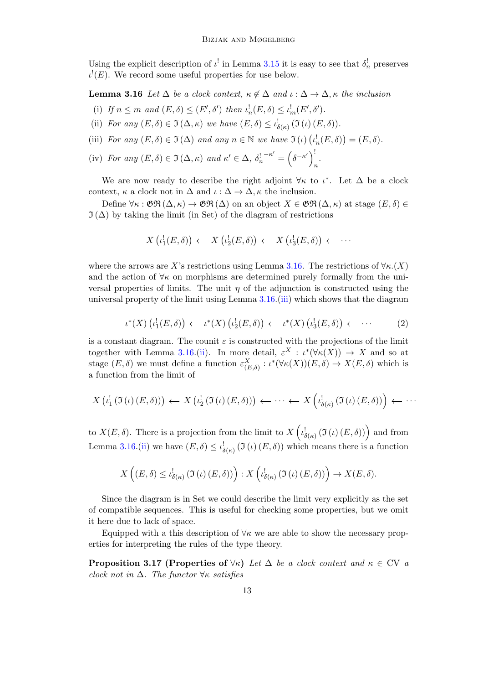Using the explicit description of  $\iota^!$  in Lemma [3.15](#page-11-0) it is easy to see that  $\delta_n^!$  preserves  $\iota^! (E)$ . We record some useful properties for use below.

<span id="page-12-0"></span>**Lemma 3.16** Let  $\Delta$  be a clock context,  $\kappa \notin \Delta$  and  $\iota : \Delta \to \Delta$ ,  $\kappa$  the inclusion

- (i) If  $n \leq m$  and  $(E, \delta) \leq (E', \delta')$  then  $\iota_n^!(E, \delta) \leq \iota_m^!(E', \delta').$
- <span id="page-12-2"></span>(ii) For any  $(E, \delta) \in \mathfrak{I}(\Delta, \kappa)$  we have  $(E, \delta) \leq \iota_{\delta(\kappa)}^{\mathfrak{l}}(\mathfrak{I}(\iota) (E, \delta)).$
- <span id="page-12-1"></span>(iii) For any  $(E, \delta) \in \mathfrak{I}(\Delta)$  and any  $n \in \mathbb{N}$  we have  $\mathfrak{I}(\iota) (\iota_n^!(E, \delta)) = (E, \delta)$ .
- <span id="page-12-4"></span>(iv) For any  $(E, \delta) \in \mathfrak{I}(\Delta, \kappa)$  and  $\kappa' \in \Delta$ ,  $\delta_n^!$  $^{-\kappa'} = (\delta^{-\kappa'})^{\frac{1}{\kappa}}$ n .

We are now ready to describe the right adjoint  $\forall \kappa$  to  $\iota^*$ . Let  $\Delta$  be a clock context,  $\kappa$  a clock not in  $\Delta$  and  $\iota : \Delta \to \Delta$ ,  $\kappa$  the inclusion.

Define  $\forall \kappa : \mathfrak{GR}(\Delta, \kappa) \to \mathfrak{GR}(\Delta)$  on an object  $X \in \mathfrak{GR}(\Delta, \kappa)$  at stage  $(E, \delta) \in$  $\mathfrak{I}(\Delta)$  by taking the limit (in Set) of the diagram of restrictions

$$
X\left(\iota_1^!(E,\delta)\right) \leftarrow X\left(\iota_2^!(E,\delta)\right) \leftarrow X\left(\iota_3^!(E,\delta)\right) \leftarrow \cdots
$$

where the arrows are X's restrictions using Lemma [3.16.](#page-12-0) The restrictions of  $\forall \kappa$ .(X) and the action of  $\forall \kappa$  on morphisms are determined purely formally from the universal properties of limits. The unit  $\eta$  of the adjunction is constructed using the universal property of the limit using Lemma [3.16.](#page-12-0)[\(iii\)](#page-12-1) which shows that the diagram

$$
\iota^*(X) \left( \iota_1^1(E, \delta) \right) \leftarrow \iota^*(X) \left( \iota_2^1(E, \delta) \right) \leftarrow \iota^*(X) \left( \iota_3^1(E, \delta) \right) \leftarrow \cdots \tag{2}
$$

<span id="page-12-3"></span>is a constant diagram. The counit  $\varepsilon$  is constructed with the projections of the limit together with Lemma [3.16.](#page-12-0)[\(ii\)](#page-12-2). In more detail,  $\varepsilon^X : \iota^*(\forall \kappa(X)) \to X$  and so at stage  $(E, \delta)$  we must define a function  $\varepsilon_{(E,\delta)}^X : \iota^*(\forall \kappa(X))(E, \delta) \to X(E, \delta)$  which is a function from the limit of

$$
X\left(\iota_1^{\mathfrak{l}}\left(\mathfrak{I}\left(\iota\right)\left(E,\delta\right)\right)\right) \leftarrow X\left(\iota_2^{\mathfrak{l}}\left(\mathfrak{I}\left(\iota\right)\left(E,\delta\right)\right)\right) \leftarrow \cdots \leftarrow X\left(\iota_{\delta\left(\kappa\right)}^{\mathfrak{l}}\left(\mathfrak{I}\left(\iota\right)\left(E,\delta\right)\right)\right) \leftarrow \cdots
$$

to  $X(E, \delta)$ . There is a projection from the limit to  $X\left(\iota_{\delta(\kappa)}^!(\mathfrak{I}(\iota)(E, \delta))\right)$  and from Lemma [3.16.](#page-12-0)[\(ii\)](#page-12-2) we have  $(E, \delta) \leq \iota_{\delta(\kappa)}^! (\Im(\iota)(E, \delta))$  which means there is a function

$$
X\left((E,\delta)\leq\iota_{\delta(\kappa)}^{!}\left(\mathfrak{I}\left(\iota\right)\left(E,\delta\right)\right)\right):X\left(\iota_{\delta(\kappa)}^{!}\left(\mathfrak{I}\left(\iota\right)\left(E,\delta\right)\right)\right)\to X(E,\delta).
$$

Since the diagram is in Set we could describe the limit very explicitly as the set of compatible sequences. This is useful for checking some properties, but we omit it here due to lack of space.

Equipped with a this description of  $\forall \kappa$  we are able to show the necessary properties for interpreting the rules of the type theory.

<span id="page-12-5"></span>**Proposition 3.17 (Properties of**  $\forall \kappa$ ) Let  $\Delta$  be a clock context and  $\kappa \in CV$  a clock not in  $\Delta$ . The functor  $\forall \kappa$  satisfies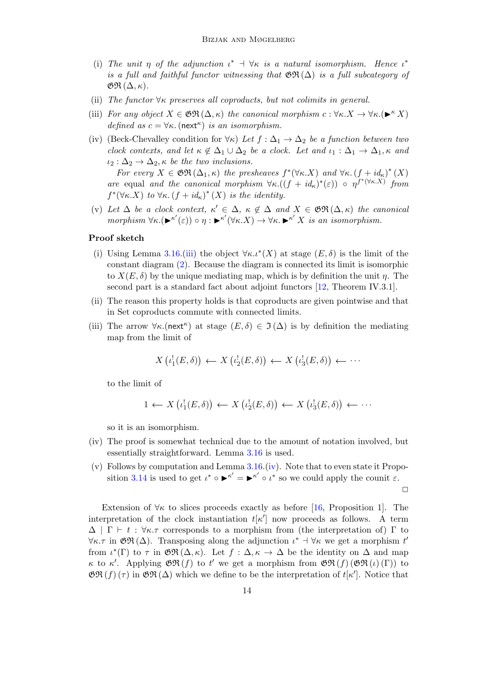- (i) The unit  $\eta$  of the adjunction  $\iota^* \dashv \forall \kappa$  is a natural isomorphism. Hence  $\iota^*$ is a full and faithful functor witnessing that  $\mathfrak{GR}(\Delta)$  is a full subcategory of  $\mathfrak{GR}\left(\Delta,\kappa\right)$ .
- (ii) The functor  $\forall \kappa$  preserves all coproducts, but not colimits in general.
- (iii) For any object  $X \in \mathfrak{GR}(\Delta, \kappa)$  the canonical morphism  $c : \forall \kappa . X \to \forall \kappa . (\blacktriangleright^{\kappa} X)$ defined as  $c = \forall \kappa$ . (next<sup> $\kappa$ </sup>) is an isomorphism.
- (iv) (Beck-Chevalley condition for  $\forall \kappa$ ) Let  $f : \Delta_1 \to \Delta_2$  be a function between two clock contexts, and let  $\kappa \notin \Delta_1 \cup \Delta_2$  be a clock. Let and  $\iota_1 : \Delta_1 \to \Delta_1$ ,  $\kappa$  and  $\iota_2 : \Delta_2 \to \Delta_2$ ,  $\kappa$  be the two inclusions.

For every  $X \in \mathfrak{GR}(\Delta_1, \kappa)$  the presheaves  $f^*(\forall \kappa. X)$  and  $\forall \kappa. (f + id_{\kappa})^*(X)$ are equal and the canonical morphism  $\forall \kappa \cdot ((f + id_{\kappa})^*(\varepsilon)) \circ \eta^{f^*(\forall \kappa \cdot X)}$  from  $f^*(\forall \kappa. X)$  to  $\forall \kappa. (f + id_{\kappa})^*(X)$  is the identity.

(v) Let  $\Delta$  be a clock context,  $\kappa' \in \Delta$ ,  $\kappa \notin \Delta$  and  $X \in \mathfrak{GR}(\Delta, \kappa)$  the canonical morphism  $\forall \kappa. (\blacktriangleright^{\kappa'}(\varepsilon)) \circ \eta : \blacktriangleright^{\kappa'} (\forall \kappa. X) \to \forall \kappa. \blacktriangleright^{\kappa'} X$  is an isomorphism.

#### Proof sketch

- (i) Using Lemma [3.16.](#page-12-0)[\(iii\)](#page-12-1) the object  $\forall \kappa \cdot \iota^*(X)$  at stage  $(E, \delta)$  is the limit of the constant diagram [\(2\)](#page-12-3). Because the diagram is connected its limit is isomorphic to  $X(E, \delta)$  by the unique mediating map, which is by definition the unit  $\eta$ . The second part is a standard fact about adjoint functors [\[12,](#page-17-15) Theorem IV.3.1].
- (ii) The reason this property holds is that coproducts are given pointwise and that in Set coproducts commute with connected limits.
- (iii) The arrow  $\forall \kappa.$ (next<sup> $\kappa$ </sup>) at stage  $(E, \delta) \in \mathfrak{I}(\Delta)$  is by definition the mediating map from the limit of

$$
X\left(\iota_1^!(E,\delta)\right) \leftarrow X\left(\iota_2^!(E,\delta)\right) \leftarrow X\left(\iota_3^!(E,\delta)\right) \leftarrow \cdots
$$

to the limit of

$$
1 \leftarrow X(\iota_1^!(E,\delta)) \leftarrow X(\iota_2^!(E,\delta)) \leftarrow X(\iota_3^!(E,\delta)) \leftarrow \cdots
$$

so it is an isomorphism.

- (iv) The proof is somewhat technical due to the amount of notation involved, but essentially straightforward. Lemma [3.16](#page-12-0) is used.
- (v) Follows by computation and Lemma [3.16.](#page-12-0)[\(iv\)](#page-12-4). Note that to even state it Propo-sition [3.14](#page-10-2) is used to get  $\iota^* \circ \mathbf{R}^{\kappa'} = \mathbf{R}^{\kappa'} \circ \iota^*$  so we could apply the counit  $\varepsilon$ .

 $\Box$ 

Extension of  $\forall \kappa$  to slices proceeds exactly as before [\[16,](#page-17-5) Proposition 1]. The interpretation of the clock instantiation  $t[\kappa']$  now proceeds as follows. A term  $\Delta$  |  $\Gamma$  + t :  $\forall \kappa. \tau$  corresponds to a morphism from (the interpretation of)  $\Gamma$  to  $\forall \kappa. \tau$  in  $\mathfrak{GR}(\Delta)$ . Transposing along the adjunction  $\iota^* \dashv \forall \kappa$  we get a morphism  $t'$ from  $\iota^*(\Gamma)$  to  $\tau$  in  $\mathfrak{GR}(\Delta,\kappa)$ . Let  $f : \Delta, \kappa \to \Delta$  be the identity on  $\Delta$  and map  $\kappa$  to  $\kappa'$ . Applying  $\mathfrak{GR}(f)$  to  $t'$  we get a morphism from  $\mathfrak{GR}(f)$  ( $\mathfrak{GR}(t)$ ) to  $\mathfrak{GR}(f)(\tau)$  in  $\mathfrak{GR}(\Delta)$  which we define to be the interpretation of  $t[\kappa']$ . Notice that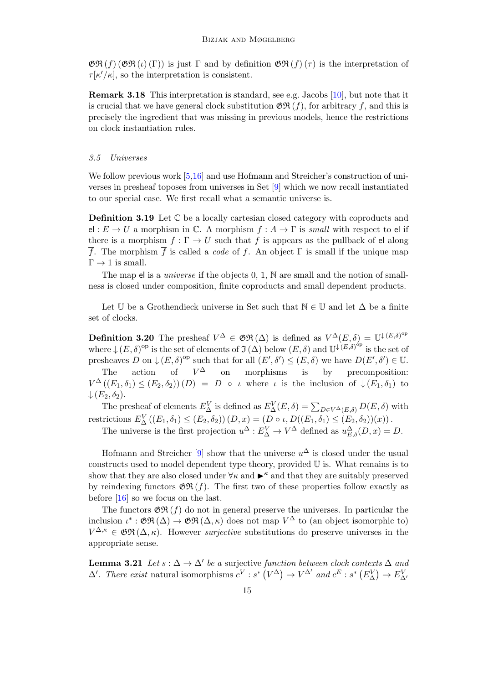$\mathfrak{GR}(f)$  ( $\mathfrak{GR}(\iota)$  (Γ)) is just  $\Gamma$  and by definition  $\mathfrak{GR}(f)(\tau)$  is the interpretation of  $\tau[\kappa'/\kappa]$ , so the interpretation is consistent.

Remark 3.18 This interpretation is standard, see e.g. Jacobs [\[10\]](#page-17-13), but note that it is crucial that we have general clock substitution  $\mathfrak{GR}(f)$ , for arbitrary f, and this is precisely the ingredient that was missing in previous models, hence the restrictions on clock instantiation rules.

#### <span id="page-14-0"></span>3.5 Universes

We follow previous work [\[5,](#page-17-7)[16\]](#page-17-5) and use Hofmann and Streicher's construction of universes in presheaf toposes from universes in Set [\[9\]](#page-17-16) which we now recall instantiated to our special case. We first recall what a semantic universe is.

Definition 3.19 Let C be a locally cartesian closed category with coproducts and el :  $E \to U$  a morphism in C. A morphism  $f : A \to \Gamma$  is *small* with respect to el if there is a morphism  $\overline{f} : \Gamma \to U$  such that f is appears as the pullback of el along  $\overline{f}$ . The morphism  $\overline{f}$  is called a *code* of f. An object  $\Gamma$  is small if the unique map  $\Gamma \rightarrow 1$  is small.

The map el is a *universe* if the objects  $0, 1, N$  are small and the notion of smallness is closed under composition, finite coproducts and small dependent products.

Let U be a Grothendieck universe in Set such that  $\mathbb{N} \in \mathbb{U}$  and let  $\Delta$  be a finite set of clocks.

**Definition 3.20** The presheaf  $V^{\Delta} \in \mathfrak{GR}(\Delta)$  is defined as  $V^{\Delta}(E,\delta) = \mathbb{U}^{\downarrow (E,\delta)^{op}}$ where  $\downarrow (E, \delta)$ <sup>op</sup> is the set of elements of  $\mathfrak{I}(\Delta)$  below  $(E, \delta)$  and  $\mathbb{U}^{\downarrow (E, \delta)^{\circ p}}$  is the set of presheaves D on  $\downarrow (E, \delta)^{\text{op}}$  such that for all  $(E', \delta') \le (E, \delta)$  we have  $D(E', \delta') \in \mathbb{U}$ . The action of  $V^{\Delta}$ on morphisms is by precomposition:  $V^{\Delta}((E_1,\delta_1) \leq (E_2,\delta_2)) (D) = D \circ \iota$  where  $\iota$  is the inclusion of  $\downarrow (E_1,\delta_1)$  to  $\downarrow$   $(E_2, \delta_2)$ .

The presheaf of elements  $E_{\Delta}^V$  is defined as  $E_{\Delta}^V(E,\delta) = \sum_{D \in V^{\Delta}(E,\delta)} D(E,\delta)$  with restrictions  $E_{\Delta}^{V}((E_1, \delta_1) \leq (E_2, \delta_2)) (D, x) = (D \circ \iota, D((E_1, \delta_1) \leq (E_2, \delta_2))(x)).$ 

The universe is the first projection  $u^{\Delta}: E_{\Delta}^V \to V^{\Delta}$  defined as  $u_{E,\delta}^{\Delta}(D,x) = D$ .

Hofmann and Streicher  $[9]$  show that the universe  $u^{\Delta}$  is closed under the usual constructs used to model dependent type theory, provided U is. What remains is to show that they are also closed under  $\forall \kappa$  and  $\blacktriangleright^{\kappa}$  and that they are suitably preserved by reindexing functors  $\mathfrak{GR}(f)$ . The first two of these properties follow exactly as before [\[16\]](#page-17-5) so we focus on the last.

The functors  $\mathfrak{GR}(f)$  do not in general preserve the universes. In particular the inclusion  $\iota^* : \mathfrak{GR}(\Delta) \to \mathfrak{GR}(\Delta, \kappa)$  does not map  $V^{\Delta}$  to (an object isomorphic to)  $V^{\Delta,\kappa} \in \mathfrak{GR}(\Delta,\kappa)$ . However *surjective* substitutions do preserve universes in the appropriate sense.

<span id="page-14-1"></span>**Lemma 3.21** Let  $s : \Delta \to \Delta'$  be a surjective function between clock contexts  $\Delta$  and  $\Delta'$ . There exist natural isomorphisms  $c^V : s^* (V^{\Delta}) \to V^{\Delta'}$  and  $c^E : s^* (E_{\Delta}^V) \to E_{\Delta'}^V$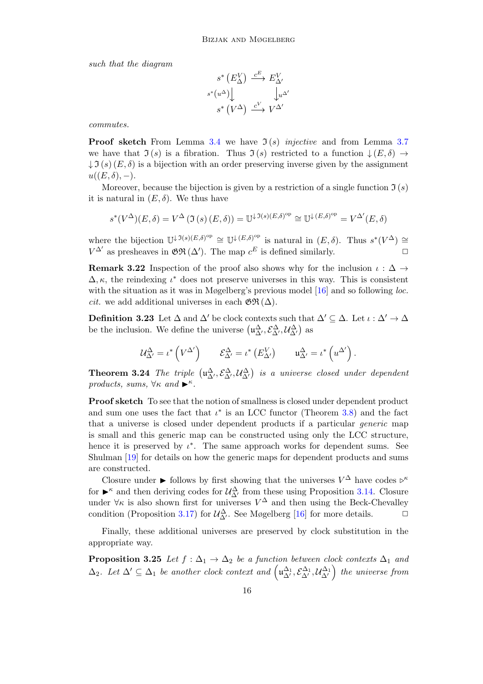such that the diagram

$$
s^* \left( E_{\Delta}^V \right) \xrightarrow{c^E} E_{\Delta'}^V
$$

$$
s^* \left( u^{\Delta} \right) \downarrow \qquad \qquad \downarrow u^{\Delta'}
$$

$$
s^* \left( V^{\Delta} \right) \xrightarrow{c^V} V^{\Delta'}
$$

commutes.

**Proof sketch** From Lemma [3.4](#page-6-0) we have  $\mathfrak{I}(s)$  injective and from Lemma [3.7](#page-6-1) we have that  $\mathfrak{I}(s)$  is a fibration. Thus  $\mathfrak{I}(s)$  restricted to a function  $\downarrow (E, \delta) \rightarrow$  $\downarrow \mathfrak{I}(s)$  (E,  $\delta$ ) is a bijection with an order preserving inverse given by the assignment  $u((E,\delta), -).$ 

Moreover, because the bijection is given by a restriction of a single function  $\mathfrak{I}(s)$ it is natural in  $(E, \delta)$ . We thus have

$$
s^*(V^{\Delta})(E,\delta) = V^{\Delta}(\Im(s)(E,\delta)) = \mathbb{U}^{\downarrow \Im(s)(E,\delta)^{\rm op}} \cong \mathbb{U}^{\downarrow (E,\delta)^{\rm op}} = V^{\Delta'}(E,\delta)
$$

where the bijection  $\mathbb{U}^{\downarrow \mathfrak{I}(s)(E,\delta)^{\rm op}} \cong \mathbb{U}^{\downarrow (E,\delta)^{\rm op}}$  is natural in  $(E,\delta)$ . Thus  $s^*(V^{\Delta}) \cong$  $V^{\Delta'}$  as presheaves in  $\mathfrak{GR}(\Delta')$ . The map  $c^E$  is defined similarly.  $\Box$ 

**Remark 3.22** Inspection of the proof also shows why for the inclusion  $\iota : \Delta \rightarrow$  $\Delta, \kappa$ , the reindexing  $\iota^*$  does not preserve universes in this way. This is consistent with the situation as it was in Møgelberg's previous model  $[16]$  and so following *loc*. *cit.* we add additional universes in each  $\mathfrak{GR}(\Delta)$ .

<span id="page-15-0"></span>**Definition 3.23** Let  $\Delta$  and  $\Delta'$  be clock contexts such that  $\Delta' \subseteq \Delta$ . Let  $\iota : \Delta' \to \Delta$ be the inclusion. We define the universe  $(\mu_{\Delta'}^{\Delta}, \mathcal{E}_{\Delta'}^{\Delta}, \mathcal{U}_{\Delta'}^{\Delta})$  as

$$
\mathcal{U}^{\Delta}_{\Delta'} = \iota^* \left( V^{\Delta'} \right) \qquad \mathcal{E}^{\Delta}_{\Delta'} = \iota^* \left( E^V_{\Delta'} \right) \qquad \mathfrak{u}^{\Delta}_{\Delta'} = \iota^* \left( u^{\Delta'} \right).
$$

**Theorem 3.24** The triple  $(\mu_{\Delta'}^{\Delta}, \mathcal{E}_{\Delta'}^{\Delta}, \mathcal{U}_{\Delta'}^{\Delta})$  is a universe closed under dependent products, sums,  $\forall \kappa$  and  $\blacktriangleright^{\kappa}$ .

Proof sketch To see that the notion of smallness is closed under dependent product and sum one uses the fact that  $\iota^*$  is an LCC functor (Theorem [3.8\)](#page-8-0) and the fact that a universe is closed under dependent products if a particular generic map is small and this generic map can be constructed using only the LCC structure, hence it is preserved by  $\iota^*$ . The same approach works for dependent sums. See Shulman [\[19\]](#page-17-17) for details on how the generic maps for dependent products and sums are constructed.

Closure under  $\blacktriangleright$  follows by first showing that the universes  $V^{\Delta}$  have codes  $\rhd^{\kappa}$ for  $\blacktriangleright^{\kappa}$  and then deriving codes for  $\mathcal{U}^{\Delta}_{\Delta'}$  from these using Proposition [3.14.](#page-10-2) Closure under  $\forall \kappa$  is also shown first for universes  $V^{\Delta}$  and then using the Beck-Chevalley condition (Proposition [3.17\)](#page-12-5) for  $\mathcal{U}_{\Delta'}^{\Delta}$ . See Møgelberg [\[16\]](#page-17-5) for more details.  $\Box$ 

Finally, these additional universes are preserved by clock substitution in the appropriate way.

**Proposition 3.25** Let  $f : \Delta_1 \to \Delta_2$  be a function between clock contexts  $\Delta_1$  and  $\Delta_2$ . Let  $\Delta' \subseteq \Delta_1$  be another clock context and  $(\mathfrak{u}_{\Delta'}^{\Delta_1}, \mathcal{E}_{\Delta'}^{\Delta_1}, \mathcal{U}_{\Delta'}^{\Delta_1})$  the universe from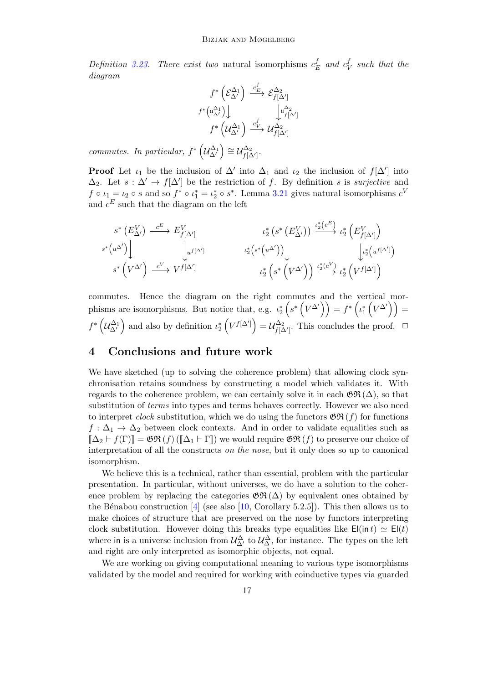Definition [3.23.](#page-15-0) There exist two natural isomorphisms  $c_t^f$  $c^f_{\rm E}$  and  $c^f_{\rm V}$  $\frac{J}{V}$  such that the diagram

$$
f^*\left(\mathcal{E}_{\Delta'}^{\Delta_1}\right) \xrightarrow{c_E^f} \mathcal{E}_{f[\Delta']}^{\Delta_2}
$$

$$
f^*\left(u_{\Delta'}^{\Delta_1}\right) \downarrow \qquad \qquad \downarrow u_{f[\Delta']}^{\Delta_2}
$$

$$
f^*\left(\mathcal{U}_{\Delta'}^{\Delta_1}\right) \xrightarrow{c_V^f} \mathcal{U}_{f[\Delta']}^{\Delta_2}
$$

commutes. In particular,  $f^*\left(\mathcal{U}_{\Delta'}^{\Delta_1}\right) \cong \mathcal{U}_{f[\Delta']}^{\Delta_2}$  $f[\Delta']\cdot$ 

**Proof** Let  $\iota_1$  be the inclusion of  $\Delta'$  into  $\Delta_1$  and  $\iota_2$  the inclusion of  $f[\Delta']$  into  $\Delta_2$ . Let  $s : \Delta' \to f[\Delta']$  be the restriction of f. By definition s is surjective and  $f \circ \iota_1 = \iota_2 \circ s$  and so  $f^* \circ \iota_1^* = \iota_2^* \circ s^*$ . Lemma [3.21](#page-14-1) gives natural isomorphisms  $c^V$ and  $c^E$  such that the diagram on the left

$$
s^* \left( E_{\Delta'}^V \right) \xrightarrow{c^E} E_{f[\Delta']}^V \qquad \qquad \iota_2^* \left( s^* \left( E_{\Delta'}^V \right) \right) \xrightarrow{c^*} \iota_2^* \left( E_{f[\Delta']}^V \right) \\ s^* \left( u^{\Delta'} \right) \Bigg| \qquad \qquad \iota_2^* \left( s^* \left( u^{\Delta'} \right) \right) \Bigg| \qquad \qquad \iota_2^* \left( s^* \left( u^{\Delta'} \right) \right) \Bigg| \qquad \qquad \iota_2^* \left( s^* \left( v^{\Delta'} \right) \right) \xrightarrow{c^*} \iota_2^* \left( v^{\{ \Delta' \} \right) \right) \\ s^* \left( V^{\Delta'} \right) \xrightarrow{c^V} V^{f[\Delta']} \qquad \qquad \iota_2^* \left( s^* \left( V^{\Delta'} \right) \right) \xrightarrow{i_2^* \left( c^V \right)} \iota_2^* \left( V^{f[\Delta']} \right)
$$

commutes. Hence the diagram on the right commutes and the vertical morphisms are isomorphisms. But notice that, e.g.  $\iota_2^* \left( s^* \left( V^{\Delta'} \right) \right) = f^* \left( \iota_1^* \left( V^{\Delta'} \right) \right) =$  $f^*\left(\mathcal{U}_{\Delta'}^{\Delta_1}\right)$  and also by definition  $\iota_2^*\left(V^{f[\Delta']}\right) = \mathcal{U}_{f[\Delta']}^{\Delta_2}$  $f_{\lbrack}\Delta^{\prime\rbrack}$ . This concludes the proof.  $\Box$ 

## <span id="page-16-0"></span>4 Conclusions and future work

We have sketched (up to solving the coherence problem) that allowing clock synchronisation retains soundness by constructing a model which validates it. With regards to the coherence problem, we can certainly solve it in each  $\mathfrak{GR}(\Delta)$ , so that substitution of *terms* into types and terms behaves correctly. However we also need to interpret *clock* substitution, which we do using the functors  $\mathfrak{GR}(f)$  for functions  $f: \Delta_1 \to \Delta_2$  between clock contexts. And in order to validate equalities such as  $\llbracket \Delta_2 \vdash f(\Gamma) \rrbracket = \mathfrak{GN}(f) \left( \llbracket \Delta_1 \vdash \Gamma \rrbracket \right)$  we would require  $\mathfrak{GR}(f)$  to preserve our choice of interpretation of all the constructs on the nose, but it only does so up to canonical isomorphism.

We believe this is a technical, rather than essential, problem with the particular presentation. In particular, without universes, we do have a solution to the coherence problem by replacing the categories  $\mathfrak{GR}(\Delta)$  by equivalent ones obtained by the Bénabou construction [\[4\]](#page-17-18) (see also [\[10,](#page-17-13) Corollary 5.2.5]). This then allows us to make choices of structure that are preserved on the nose by functors interpreting clock substitution. However doing this breaks type equalities like  $E(\text{in } t) \simeq E(t)$ where in is a universe inclusion from  $\mathcal{U}^{\Delta}_{\Delta'}$  to  $\mathcal{U}^{\Delta}_{\Delta}$ , for instance. The types on the left and right are only interpreted as isomorphic objects, not equal.

We are working on giving computational meaning to various type isomorphisms validated by the model and required for working with coinductive types via guarded